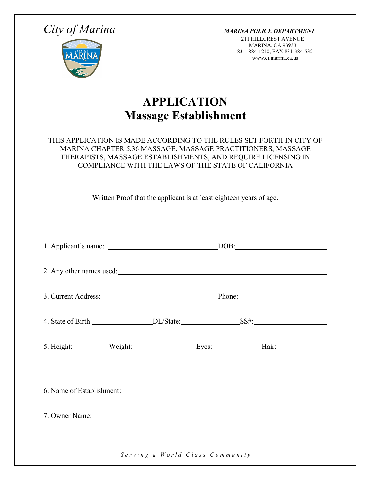*City of Marina MARINA POLICE DEPARTMENT*

211 HILLCREST AVENUE MARINA, CA 93933 831- 884-1210; FAX 831-384-5321 www.ci.marina.ca.us

## **APPLICATION Massage Establishment**

## THIS APPLICATION IS MADE ACCORDING TO THE RULES SET FORTH IN CITY OF MARINA CHAPTER 5.36 MASSAGE, MASSAGE PRACTITIONERS, MASSAGE THERAPISTS, MASSAGE ESTABLISHMENTS, AND REQUIRE LICENSING IN COMPLIANCE WITH THE LAWS OF THE STATE OF CALIFORNIA

Written Proof that the applicant is at least eighteen years of age.

| 2. Any other names used:                                                                                                                                                                                                       |  |  |                                 |  |
|--------------------------------------------------------------------------------------------------------------------------------------------------------------------------------------------------------------------------------|--|--|---------------------------------|--|
| 3. Current Address: Phone: Phone:                                                                                                                                                                                              |  |  |                                 |  |
|                                                                                                                                                                                                                                |  |  |                                 |  |
| 5. Height: Weight: Weight: Eyes: Hair: Hair:                                                                                                                                                                                   |  |  |                                 |  |
|                                                                                                                                                                                                                                |  |  |                                 |  |
| 7. Owner Name: 2008. Example 2014. The Same Community of the Same Community of the Same Community of the Same Community of the Same Community of the Same Community of the Same Community of the Same Community of the Same Co |  |  |                                 |  |
|                                                                                                                                                                                                                                |  |  | Serving a World Class Community |  |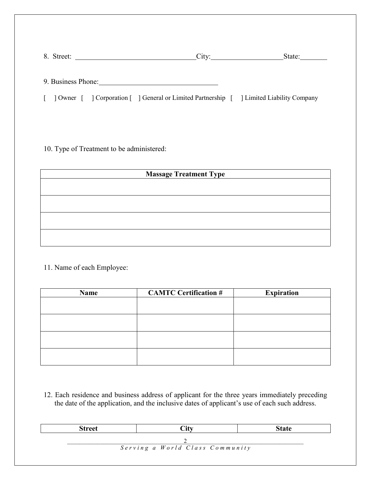|  | 8. Street: 2008. 2009. 2009. 2009. 2012. 2014. 2015. 2016. 2017. 2018. 2019. 2014. 2016. 2017. 2017. 2017. 201 | City:                                                                                      | State:<br><u> 1980 - Jan Barbara Barat, prima prima prima prima prima prima prima prima prima prima prima prima prima prim</u> |
|--|----------------------------------------------------------------------------------------------------------------|--------------------------------------------------------------------------------------------|--------------------------------------------------------------------------------------------------------------------------------|
|  |                                                                                                                |                                                                                            |                                                                                                                                |
|  |                                                                                                                | 9. Business Phone:                                                                         |                                                                                                                                |
|  |                                                                                                                | [ ] Owner [ ] Corporation [ ] General or Limited Partnership [ ] Limited Liability Company |                                                                                                                                |
|  |                                                                                                                |                                                                                            |                                                                                                                                |

10. Type of Treatment to be administered:

| <b>Massage Treatment Type</b> |  |  |  |
|-------------------------------|--|--|--|
|                               |  |  |  |
|                               |  |  |  |
|                               |  |  |  |
|                               |  |  |  |
|                               |  |  |  |
|                               |  |  |  |

11. Name of each Employee:

| Name | <b>CAMTC Certification #</b> | <b>Expiration</b> |
|------|------------------------------|-------------------|
|      |                              |                   |
|      |                              |                   |
|      |                              |                   |
|      |                              |                   |
|      |                              |                   |
|      |                              |                   |
|      |                              |                   |
|      |                              |                   |

12. Each residence and business address of applicant for the three years immediately preceding the date of the application, and the inclusive dates of applicant's use of each such address.

| <b>Street</b> | $\gamma$ ity                    | <b>State</b> |
|---------------|---------------------------------|--------------|
|               |                                 |              |
|               | Serving a World Class Community |              |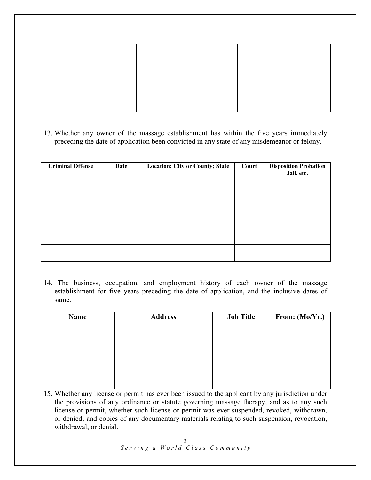13. Whether any owner of the massage establishment has within the five years immediately preceding the date of application been convicted in any state of any misdemeanor or felony.

| <b>Criminal Offense</b> | Date | <b>Location: City or County; State</b> | Court | <b>Disposition Probation</b><br>Jail, etc. |
|-------------------------|------|----------------------------------------|-------|--------------------------------------------|
|                         |      |                                        |       |                                            |
|                         |      |                                        |       |                                            |
|                         |      |                                        |       |                                            |
|                         |      |                                        |       |                                            |
|                         |      |                                        |       |                                            |

14. The business, occupation, and employment history of each owner of the massage establishment for five years preceding the date of application, and the inclusive dates of same.

| Name | <b>Address</b> | <b>Job Title</b> | From: (Mo/Yr.) |
|------|----------------|------------------|----------------|
|      |                |                  |                |
|      |                |                  |                |
|      |                |                  |                |
|      |                |                  |                |
|      |                |                  |                |
|      |                |                  |                |
|      |                |                  |                |
|      |                |                  |                |

15. Whether any license or permit has ever been issued to the applicant by any jurisdiction under the provisions of any ordinance or statute governing massage therapy, and as to any such license or permit, whether such license or permit was ever suspended, revoked, withdrawn, or denied; and copies of any documentary materials relating to such suspension, revocation, withdrawal, or denial.